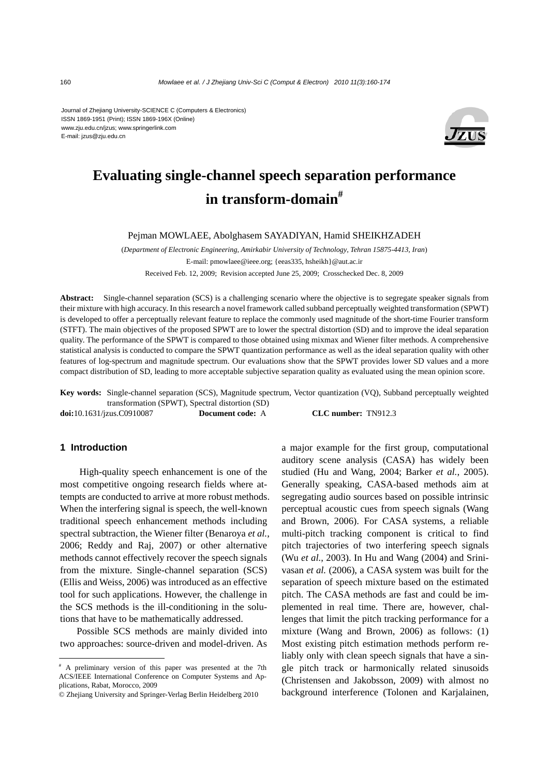Journal of Zhejiang University-SCIENCE C (Computers & Electronics) ISSN 1869-1951 (Print); ISSN 1869-196X (Online) www.zju.edu.cn/jzus; www.springerlink.com E-mail: jzus@zju.edu.cn



# **Evaluating single-channel speech separation performance in transform-domain#**

Pejman MOWLAEE, Abolghasem SAYADIYAN, Hamid SHEIKHZADEH

(*Department of Electronic Engineering, Amirkabir University of Technology, Tehran 15875-4413, Iran*) E-mail: pmowlaee@ieee.org; {eeas335, hsheikh}@aut.ac.ir Received Feb. 12, 2009; Revision accepted June 25, 2009; Crosschecked Dec. 8, 2009

**Abstract:** Single-channel separation (SCS) is a challenging scenario where the objective is to segregate speaker signals from their mixture with high accuracy. In this research a novel framework called subband perceptually weighted transformation (SPWT) is developed to offer a perceptually relevant feature to replace the commonly used magnitude of the short*-*time Fourier transform (STFT). The main objectives of the proposed SPWT are to lower the spectral distortion (SD) and to improve the ideal separation quality. The performance of the SPWT is compared to those obtained using mixmax and Wiener filter methods. A comprehensive statistical analysis is conducted to compare the SPWT quantization performance as well as the ideal separation quality with other features of log-spectrum and magnitude spectrum. Our evaluations show that the SPWT provides lower SD values and a more compact distribution of SD, leading to more acceptable subjective separation quality as evaluated using the mean opinion score.

**Key words:** Single-channel separation (SCS), Magnitude spectrum, Vector quantization (VQ), Subband perceptually weighted transformation (SPWT), Spectral distortion (SD)

**doi:**10.1631/jzus.C0910087 **Document code:** A **CLC number:** TN912.3

# **1 Introduction**

High-quality speech enhancement is one of the most competitive ongoing research fields where attempts are conducted to arrive at more robust methods. When the interfering signal is speech, the well-known traditional speech enhancement methods including spectral subtraction, the Wiener filter (Benaroya *et al.*, 2006; Reddy and Raj, 2007) or other alternative methods cannot effectively recover the speech signals from the mixture. Single-channel separation (SCS) (Ellis and Weiss, 2006) was introduced as an effective tool for such applications. However, the challenge in the SCS methods is the ill-conditioning in the solutions that have to be mathematically addressed.

Possible SCS methods are mainly divided into two approaches: source-driven and model-driven. As a major example for the first group, computational auditory scene analysis (CASA) has widely been studied (Hu and Wang, 2004; Barker *et al.*, 2005). Generally speaking, CASA-based methods aim at segregating audio sources based on possible intrinsic perceptual acoustic cues from speech signals (Wang and Brown, 2006). For CASA systems, a reliable multi-pitch tracking component is critical to find pitch trajectories of two interfering speech signals (Wu *et al.*, 2003). In Hu and Wang (2004) and Srinivasan *et al.* (2006), a CASA system was built for the separation of speech mixture based on the estimated pitch. The CASA methods are fast and could be implemented in real time. There are, however, challenges that limit the pitch tracking performance for a mixture (Wang and Brown, 2006) as follows: (1) Most existing pitch estimation methods perform reliably only with clean speech signals that have a single pitch track or harmonically related sinusoids (Christensen and Jakobsson, 2009) with almost no background interference (Tolonen and Karjalainen,

<sup>#</sup> A preliminary version of this paper was presented at the 7th ACS/IEEE International Conference on Computer Systems and Applications, Rabat, Morocco, 2009

<sup>©</sup> Zhejiang University and Springer-Verlag Berlin Heidelberg 2010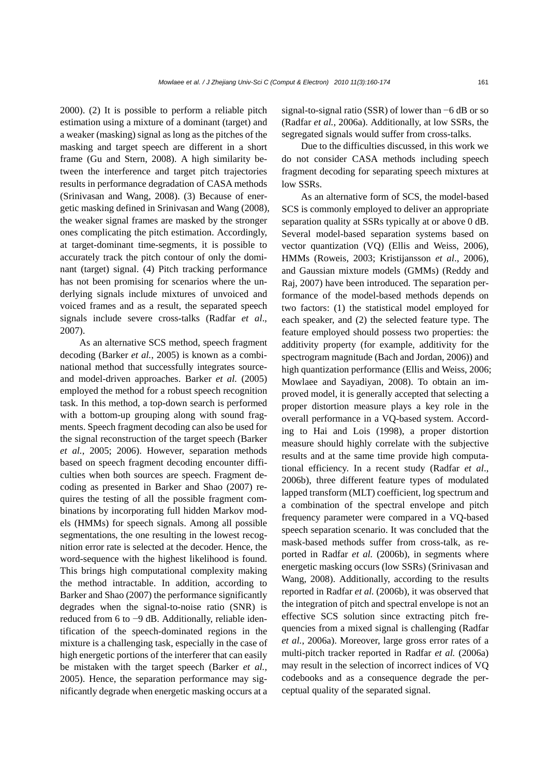2000). (2) It is possible to perform a reliable pitch estimation using a mixture of a dominant (target) and a weaker (masking) signal as long as the pitches of the masking and target speech are different in a short frame (Gu and Stern, 2008). A high similarity between the interference and target pitch trajectories results in performance degradation of CASA methods (Srinivasan and Wang, 2008). (3) Because of energetic masking defined in Srinivasan and Wang (2008), the weaker signal frames are masked by the stronger ones complicating the pitch estimation. Accordingly, at target-dominant time-segments, it is possible to accurately track the pitch contour of only the dominant (target) signal. (4) Pitch tracking performance has not been promising for scenarios where the underlying signals include mixtures of unvoiced and voiced frames and as a result, the separated speech signals include severe cross-talks (Radfar *et al*., 2007).

As an alternative SCS method, speech fragment decoding (Barker *et al.*, 2005) is known as a combinational method that successfully integrates sourceand model-driven approaches. Barker *et al.* (2005) employed the method for a robust speech recognition task. In this method, a top-down search is performed with a bottom-up grouping along with sound fragments. Speech fragment decoding can also be used for the signal reconstruction of the target speech (Barker *et al.*, 2005; 2006). However, separation methods based on speech fragment decoding encounter difficulties when both sources are speech. Fragment decoding as presented in Barker and Shao (2007) requires the testing of all the possible fragment combinations by incorporating full hidden Markov models (HMMs) for speech signals. Among all possible segmentations, the one resulting in the lowest recognition error rate is selected at the decoder. Hence, the word-sequence with the highest likelihood is found. This brings high computational complexity making the method intractable. In addition, according to Barker and Shao (2007) the performance significantly degrades when the signal-to-noise ratio (SNR) is reduced from 6 to −9 dB. Additionally, reliable identification of the speech-dominated regions in the mixture is a challenging task, especially in the case of high energetic portions of the interferer that can easily be mistaken with the target speech (Barker *et al.*, 2005). Hence, the separation performance may significantly degrade when energetic masking occurs at a signal-to-signal ratio (SSR) of lower than −6 dB or so (Radfar *et al.*, 2006a). Additionally, at low SSRs, the segregated signals would suffer from cross-talks.

Due to the difficulties discussed, in this work we do not consider CASA methods including speech fragment decoding for separating speech mixtures at low SSRs.

As an alternative form of SCS, the model-based SCS is commonly employed to deliver an appropriate separation quality at SSRs typically at or above 0 dB. Several model-based separation systems based on vector quantization (VQ) (Ellis and Weiss, 2006), HMMs (Roweis, 2003; Kristijansson *et al*., 2006), and Gaussian mixture models (GMMs) (Reddy and Raj, 2007) have been introduced. The separation performance of the model-based methods depends on two factors: (1) the statistical model employed for each speaker, and (2) the selected feature type. The feature employed should possess two properties: the additivity property (for example, additivity for the spectrogram magnitude (Bach and Jordan, 2006)) and high quantization performance (Ellis and Weiss, 2006; Mowlaee and Sayadiyan, 2008). To obtain an improved model, it is generally accepted that selecting a proper distortion measure plays a key role in the overall performance in a VQ-based system. According to Hai and Lois (1998), a proper distortion measure should highly correlate with the subjective results and at the same time provide high computational efficiency. In a recent study (Radfar *et al*., 2006b), three different feature types of modulated lapped transform (MLT) coefficient, log spectrum and a combination of the spectral envelope and pitch frequency parameter were compared in a VQ-based speech separation scenario. It was concluded that the mask-based methods suffer from cross-talk, as reported in Radfar *et al.* (2006b), in segments where energetic masking occurs (low SSRs) (Srinivasan and Wang, 2008). Additionally, according to the results reported in Radfar *et al.* (2006b), it was observed that the integration of pitch and spectral envelope is not an effective SCS solution since extracting pitch frequencies from a mixed signal is challenging (Radfar *et al.*, 2006a). Moreover, large gross error rates of a multi-pitch tracker reported in Radfar *et al.* (2006a) may result in the selection of incorrect indices of VQ codebooks and as a consequence degrade the perceptual quality of the separated signal.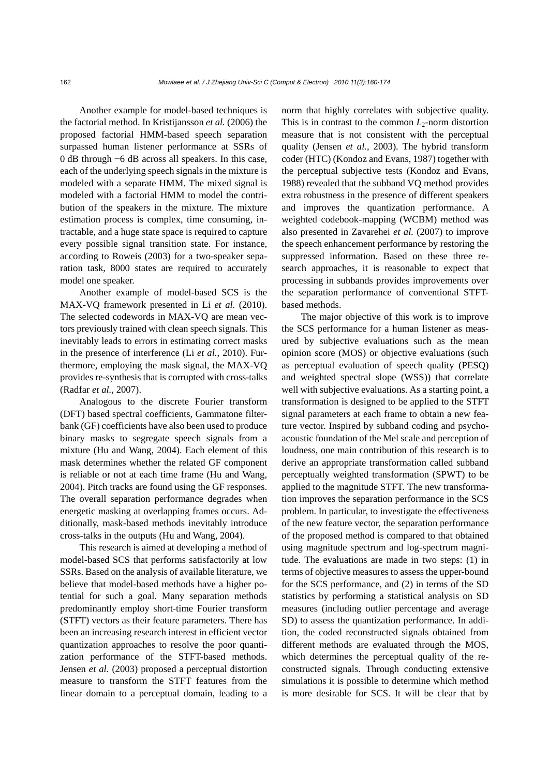Another example for model-based techniques is the factorial method. In Kristijansson *et al.* (2006) the proposed factorial HMM-based speech separation surpassed human listener performance at SSRs of 0 dB through −6 dB across all speakers. In this case, each of the underlying speech signals in the mixture is modeled with a separate HMM. The mixed signal is modeled with a factorial HMM to model the contribution of the speakers in the mixture. The mixture estimation process is complex, time consuming, intractable, and a huge state space is required to capture every possible signal transition state. For instance, according to Roweis (2003) for a two-speaker separation task, 8000 states are required to accurately model one speaker.

Another example of model-based SCS is the MAX-VQ framework presented in Li *et al.* (2010). The selected codewords in MAX-VQ are mean vectors previously trained with clean speech signals. This inevitably leads to errors in estimating correct masks in the presence of interference (Li *et al.*, 2010). Furthermore, employing the mask signal, the MAX-VQ provides re-synthesis that is corrupted with cross-talks (Radfar *et al.*, 2007).

Analogous to the discrete Fourier transform (DFT) based spectral coefficients, Gammatone filterbank (GF) coefficients have also been used to produce binary masks to segregate speech signals from a mixture (Hu and Wang, 2004). Each element of this mask determines whether the related GF component is reliable or not at each time frame (Hu and Wang, 2004). Pitch tracks are found using the GF responses. The overall separation performance degrades when energetic masking at overlapping frames occurs. Additionally, mask-based methods inevitably introduce cross-talks in the outputs (Hu and Wang, 2004).

This research is aimed at developing a method of model-based SCS that performs satisfactorily at low SSRs. Based on the analysis of available literature, we believe that model-based methods have a higher potential for such a goal. Many separation methods predominantly employ short-time Fourier transform (STFT) vectors as their feature parameters. There has been an increasing research interest in efficient vector quantization approaches to resolve the poor quantization performance of the STFT-based methods. Jensen *et al.* (2003) proposed a perceptual distortion measure to transform the STFT features from the linear domain to a perceptual domain, leading to a

norm that highly correlates with subjective quality. This is in contrast to the common  $L_2$ -norm distortion measure that is not consistent with the perceptual quality (Jensen *et al.*, 2003). The hybrid transform coder (HTC) (Kondoz and Evans, 1987) together with the perceptual subjective tests (Kondoz and Evans, 1988) revealed that the subband VQ method provides extra robustness in the presence of different speakers and improves the quantization performance. A weighted codebook-mapping (WCBM) method was also presented in Zavarehei *et al.* (2007) to improve the speech enhancement performance by restoring the suppressed information. Based on these three research approaches, it is reasonable to expect that processing in subbands provides improvements over the separation performance of conventional STFTbased methods.

The major objective of this work is to improve the SCS performance for a human listener as measured by subjective evaluations such as the mean opinion score (MOS) or objective evaluations (such as perceptual evaluation of speech quality (PESQ) and weighted spectral slope (WSS)) that correlate well with subjective evaluations. As a starting point, a transformation is designed to be applied to the STFT signal parameters at each frame to obtain a new feature vector. Inspired by subband coding and psychoacoustic foundation of the Mel scale and perception of loudness, one main contribution of this research is to derive an appropriate transformation called subband perceptually weighted transformation (SPWT) to be applied to the magnitude STFT. The new transformation improves the separation performance in the SCS problem. In particular, to investigate the effectiveness of the new feature vector, the separation performance of the proposed method is compared to that obtained using magnitude spectrum and log-spectrum magnitude. The evaluations are made in two steps: (1) in terms of objective measures to assess the upper-bound for the SCS performance, and (2) in terms of the SD statistics by performing a statistical analysis on SD measures (including outlier percentage and average SD) to assess the quantization performance. In addition, the coded reconstructed signals obtained from different methods are evaluated through the MOS, which determines the perceptual quality of the reconstructed signals. Through conducting extensive simulations it is possible to determine which method is more desirable for SCS. It will be clear that by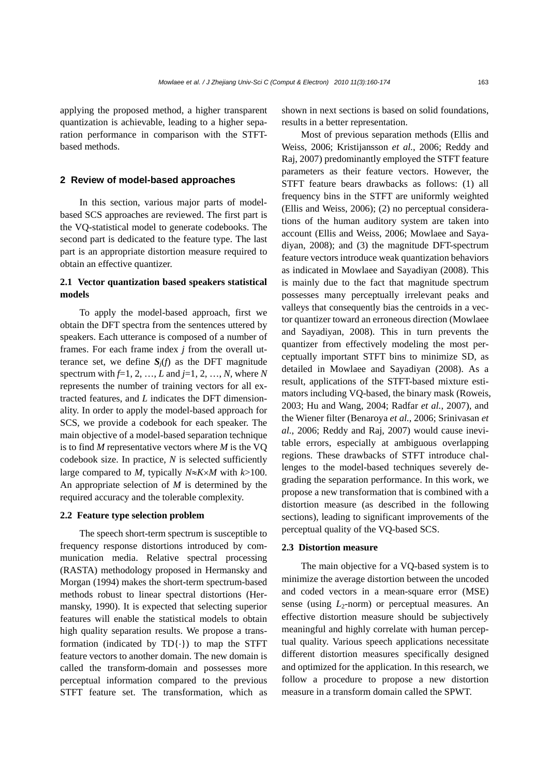applying the proposed method, a higher transparent quantization is achievable, leading to a higher separation performance in comparison with the STFTbased methods.

### **2 Review of model-based approaches**

In this section, various major parts of modelbased SCS approaches are reviewed. The first part is the VQ-statistical model to generate codebooks. The second part is dedicated to the feature type. The last part is an appropriate distortion measure required to obtain an effective quantizer.

# **2.1 Vector quantization based speakers statistical models**

To apply the model-based approach, first we obtain the DFT spectra from the sentences uttered by speakers. Each utterance is composed of a number of frames. For each frame index *j* from the overall utterance set, we define  $S_i(f)$  as the DFT magnitude spectrum with *f*=1, 2, …, *L* and *j*=1, 2, …, *N*, where *N* represents the number of training vectors for all extracted features, and *L* indicates the DFT dimensionality. In order to apply the model-based approach for SCS, we provide a codebook for each speaker. The main objective of a model-based separation technique is to find *M* representative vectors where *M* is the VQ codebook size. In practice, *N* is selected sufficiently large compared to *M*, typically *N*≈*K*×*M* with *k*>100. An appropriate selection of *M* is determined by the required accuracy and the tolerable complexity.

#### **2.2 Feature type selection problem**

The speech short-term spectrum is susceptible to frequency response distortions introduced by communication media. Relative spectral processing (RASTA) methodology proposed in Hermansky and Morgan (1994) makes the short-term spectrum-based methods robust to linear spectral distortions (Hermansky, 1990). It is expected that selecting superior features will enable the statistical models to obtain high quality separation results. We propose a transformation (indicated by TD{⋅}) to map the STFT feature vectors to another domain. The new domain is called the transform-domain and possesses more perceptual information compared to the previous STFT feature set. The transformation, which as

shown in next sections is based on solid foundations, results in a better representation.

Most of previous separation methods (Ellis and Weiss, 2006; Kristijansson *et al.*, 2006; Reddy and Raj, 2007) predominantly employed the STFT feature parameters as their feature vectors. However, the STFT feature bears drawbacks as follows: (1) all frequency bins in the STFT are uniformly weighted (Ellis and Weiss, 2006); (2) no perceptual considerations of the human auditory system are taken into account (Ellis and Weiss, 2006; Mowlaee and Sayadiyan, 2008); and (3) the magnitude DFT-spectrum feature vectors introduce weak quantization behaviors as indicated in Mowlaee and Sayadiyan (2008). This is mainly due to the fact that magnitude spectrum possesses many perceptually irrelevant peaks and valleys that consequently bias the centroids in a vector quantizer toward an erroneous direction (Mowlaee and Sayadiyan, 2008). This in turn prevents the quantizer from effectively modeling the most perceptually important STFT bins to minimize SD, as detailed in Mowlaee and Sayadiyan (2008). As a result, applications of the STFT-based mixture estimators including VQ-based, the binary mask (Roweis, 2003; Hu and Wang, 2004; Radfar *et al.*, 2007), and the Wiener filter (Benaroya *et al.*, 2006; Srinivasan *et al.*, 2006; Reddy and Raj, 2007) would cause inevitable errors, especially at ambiguous overlapping regions. These drawbacks of STFT introduce challenges to the model-based techniques severely degrading the separation performance. In this work, we propose a new transformation that is combined with a distortion measure (as described in the following sections), leading to significant improvements of the perceptual quality of the VQ-based SCS.

#### **2.3 Distortion measure**

The main objective for a VQ-based system is to minimize the average distortion between the uncoded and coded vectors in a mean-square error (MSE) sense (using  $L_2$ -norm) or perceptual measures. An effective distortion measure should be subjectively meaningful and highly correlate with human perceptual quality. Various speech applications necessitate different distortion measures specifically designed and optimized for the application. In this research, we follow a procedure to propose a new distortion measure in a transform domain called the SPWT.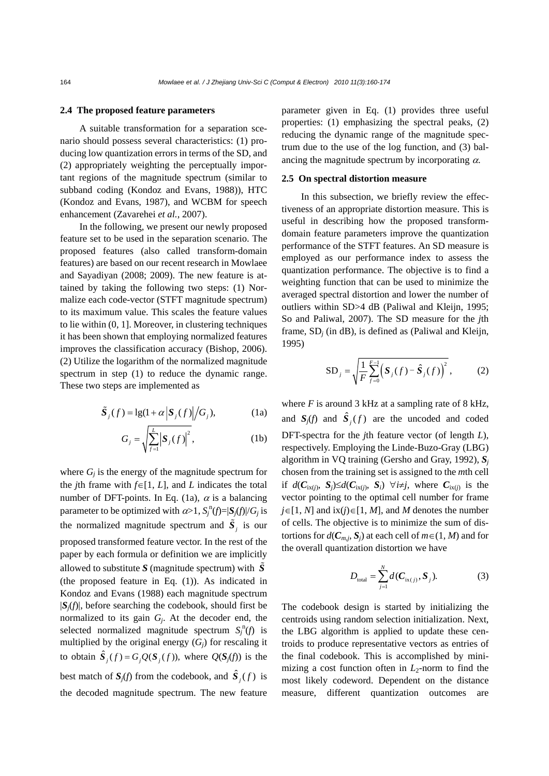#### **2.4 The proposed feature parameters**

A suitable transformation for a separation scenario should possess several characteristics: (1) producing low quantization errors in terms of the SD, and (2) appropriately weighting the perceptually important regions of the magnitude spectrum (similar to subband coding (Kondoz and Evans, 1988)), HTC (Kondoz and Evans, 1987), and WCBM for speech enhancement (Zavarehei *et al.*, 2007).

In the following, we present our newly proposed feature set to be used in the separation scenario. The proposed features (also called transform-domain features) are based on our recent research in Mowlaee and Sayadiyan (2008; 2009). The new feature is attained by taking the following two steps: (1) Normalize each code-vector (STFT magnitude spectrum) to its maximum value. This scales the feature values to lie within (0, 1]. Moreover, in clustering techniques it has been shown that employing normalized features improves the classification accuracy (Bishop, 2006). (2) Utilize the logarithm of the normalized magnitude spectrum in step (1) to reduce the dynamic range. These two steps are implemented as

$$
\tilde{\mathbf{S}}_j(f) = \lg(1 + \alpha \left| \mathbf{S}_j(f) \right| / G_j),\tag{1a}
$$

$$
G_j = \sqrt{\sum_{j=1}^{L} |\mathbf{S}_j(f)|^2},\tag{1b}
$$

where  $G_i$  is the energy of the magnitude spectrum for the *j*th frame with  $f \in [1, L]$ , and *L* indicates the total number of DFT-points. In Eq. (1a),  $\alpha$  is a balancing parameter to be optimized with  $\alpha > 1$ ,  $S_j^n(f) = |S_j(f)|/G_j$  is the normalized magnitude spectrum and  $\tilde{S}_i$  is our proposed transformed feature vector. In the rest of the paper by each formula or definition we are implicitly allowed to substitute S (magnitude spectrum) with  $\tilde{S}$ (the proposed feature in Eq. (1)). As indicated in Kondoz and Evans (1988) each magnitude spectrum  $|S_i(f)|$ , before searching the codebook, should first be normalized to its gain *Gj*. At the decoder end, the selected normalized magnitude spectrum  $S_j^n(f)$  is multiplied by the original energy  $(G_i)$  for rescaling it to obtain  $\hat{S}_i(f) = G_i Q(S_i(f))$ , where  $Q(S_j(f))$  is the best match of  $S_j(f)$  from the codebook, and  $\hat{S}_j(f)$  is the decoded magnitude spectrum. The new feature

parameter given in Eq. (1) provides three useful properties: (1) emphasizing the spectral peaks, (2) reducing the dynamic range of the magnitude spectrum due to the use of the log function, and (3) balancing the magnitude spectrum by incorporating  $\alpha$ .

## **2.5 On spectral distortion measure**

In this subsection, we briefly review the effectiveness of an appropriate distortion measure. This is useful in describing how the proposed transformdomain feature parameters improve the quantization performance of the STFT features. An SD measure is employed as our performance index to assess the quantization performance. The objective is to find a weighting function that can be used to minimize the averaged spectral distortion and lower the number of outliers within SD>4 dB (Paliwal and Kleijn, 1995; So and Paliwal, 2007). The SD measure for the *j*th frame, SD*j* (in dB), is defined as (Paliwal and Kleijn, 1995)

SD<sub>j</sub> = 
$$
\sqrt{\frac{1}{F} \sum_{f=0}^{F-1} (S_j(f) - \hat{S}_j(f))^2}
$$
, (2)

where  $F$  is around 3 kHz at a sampling rate of 8 kHz, and  $S_i(f)$  and  $\hat{S}_i(f)$  are the uncoded and coded DFT-spectra for the *j*th feature vector (of length *L*), respectively. Employing the Linde-Buzo-Gray (LBG) algorithm in VQ training (Gersho and Gray, 1992), *S<sup>j</sup>* chosen from the training set is assigned to the *m*th cell if  $d(C_{\text{ix}(i)}, S_i) \leq d(C_{\text{ix}(i)}, S_i)$   $\forall i \neq j$ , where  $C_{\text{ix}(i)}$  is the vector pointing to the optimal cell number for frame *j*∈[1, *N*] and ix(*j*)∈[1, *M*], and *M* denotes the number of cells. The objective is to minimize the sum of distortions for  $d(C_{m,j}, S_j)$  at each cell of  $m \in (1, M)$  and for the overall quantization distortion we have

$$
D_{\text{total}} = \sum_{j=1}^{N} d(C_{\text{ix}(j)}, S_j). \tag{3}
$$

The codebook design is started by initializing the centroids using random selection initialization. Next, the LBG algorithm is applied to update these centroids to produce representative vectors as entries of the final codebook. This is accomplished by minimizing a cost function often in  $L_2$ -norm to find the most likely codeword. Dependent on the distance measure, different quantization outcomes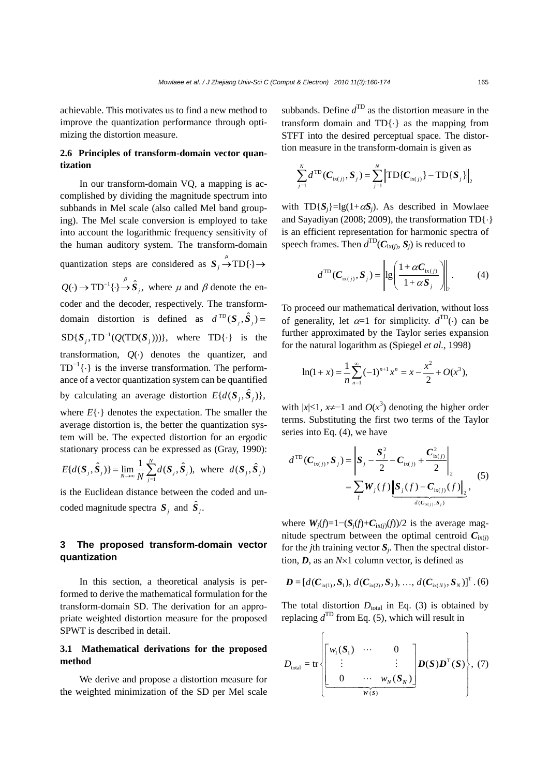achievable. This motivates us to find a new method to improve the quantization performance through optimizing the distortion measure.

# **2.6 Principles of transform-domain vector quantization**

In our transform-domain VQ, a mapping is accomplished by dividing the magnitude spectrum into subbands in Mel scale (also called Mel band grouping). The Mel scale conversion is employed to take into account the logarithmic frequency sensitivity of the human auditory system. The transform-domain quantization steps are considered as  $S_j \stackrel{\mu}{\rightarrow} TD\{\cdot\} \rightarrow$  $Q(\cdot) \to TD^{-1} {\{\cdot \}} \stackrel{\beta}{\to} \hat{S}_j$ , where  $\mu$  and  $\beta$  denote the encoder and the decoder, respectively. The transformdomain distortion is defined as  $d^{\text{TD}}(S_i, \hat{S}_i)$  =  $SD{S_i, TD^{-1}(Q(TD(S_i)))}\$ , where  $TD{\cdot}$  is the transformation,  $Q(\cdot)$  denotes the quantizer, and  $TD^{-1}\{\cdot\}$  is the inverse transformation. The performance of a vector quantization system can be quantified by calculating an average distortion  $E\{d(\mathbf{S}_i, \hat{\mathbf{S}}_i)\},$ 

where  $E\{\cdot\}$  denotes the expectation. The smaller the average distortion is, the better the quantization system will be. The expected distortion for an ergodic stationary process can be expressed as (Gray, 1990):

$$
E\{d(\boldsymbol{S}_j, \hat{\boldsymbol{S}}_j)\} = \lim_{N \to \infty} \frac{1}{N} \sum_{j=1}^N d(\boldsymbol{S}_j, \hat{\boldsymbol{S}}_j), \text{ where } d(\boldsymbol{S}_j, \hat{\boldsymbol{S}}_j)
$$

is the Euclidean distance between the coded and uncoded magnitude spectra  $S_i$  and  $\hat{S}_i$ .

# **3 The proposed transform-domain vector quantization**

In this section, a theoretical analysis is performed to derive the mathematical formulation for the transform-domain SD. The derivation for an appropriate weighted distortion measure for the proposed SPWT is described in detail.

# **3.1 Mathematical derivations for the proposed method**

We derive and propose a distortion measure for the weighted minimization of the SD per Mel scale

subbands. Define  $d^{\text{TD}}$  as the distortion measure in the transform domain and  $TD\{\cdot\}$  as the mapping from STFT into the desired perceptual space. The distortion measure in the transform-domain is given as

$$
\sum_{j=1}^{N} d^{\text{TD}}(C_{\text{ix}(j)}, S_j) = \sum_{j=1}^{N} \left\| \text{TD}\{C_{\text{ix}(j)}\} - \text{TD}\{S_j\}\right\|_2
$$

with  $TD\{S_i\} = \lg(1+\alpha S_i)$ . As described in Mowlaee and Sayadiyan (2008; 2009), the transformation TD{⋅} is an efficient representation for harmonic spectra of speech frames. Then  $d^{\text{TD}}(C_{i(x(i))}, S_i)$  is reduced to

$$
d^{\text{TD}}(C_{\text{ix}(j)}, S_j) = \left\| \text{lg}\left(\frac{1 + \alpha C_{\text{ix}(j)}}{1 + \alpha S_j}\right) \right\|_2.
$$
 (4)

To proceed our mathematical derivation, without loss of generality, let  $\alpha=1$  for simplicity.  $d^{TD}(\cdot)$  can be further approximated by the Taylor series expansion for the natural logarithm as (Spiegel *et al.*, 1998)

$$
\ln(1+x) = \frac{1}{n} \sum_{n=1}^{\infty} (-1)^{n+1} x^n = x - \frac{x^2}{2} + O(x^3),
$$

with  $|x|≤1$ ,  $x≠-1$  and  $O(x^3)$  denoting the higher order terms. Substituting the first two terms of the Taylor series into Eq. (4), we have

$$
d^{\text{TD}}(C_{\text{ix}(j)}, S_j) = \left\| S_j - \frac{S_j^2}{2} - C_{\text{ix}(j)} + \frac{C_{\text{ix}(j)}^2}{2} \right\|_2
$$
  
= 
$$
\sum_j W_j(f) \underbrace{\left\| S_j(f) - C_{\text{ix}(j)}(f) \right\|_2}_{d(C_{\text{ix}(j)}, S_j)},
$$
 (5)

where  $W_i(f)=1-(S_i(f)+C_{iX(i)}(f))/2$  is the average magnitude spectrum between the optimal centroid  $C_{iX(i)}$ for the *j*th training vector  $S_i$ . Then the spectral distortion, *D*, as an *N*×1 column vector, is defined as

$$
\mathbf{D} = [d(\mathbf{C}_{ix(1)}, \mathbf{S}_1), d(\mathbf{C}_{ix(2)}, \mathbf{S}_2), ..., d(\mathbf{C}_{ix(N)}, \mathbf{S}_N)]^T. (6)
$$

The total distortion  $D_{total}$  in Eq. (3) is obtained by replacing  $d^{\text{TD}}$  from Eq. (5), which will result in

$$
D_{\text{total}} = \text{tr}\left\{\begin{bmatrix} w_1(S_1) & \cdots & 0 \\ \vdots & & \vdots \\ 0 & \cdots & w_N(S_N) \end{bmatrix} D(S) D^{T}(S) \right\}, (7)
$$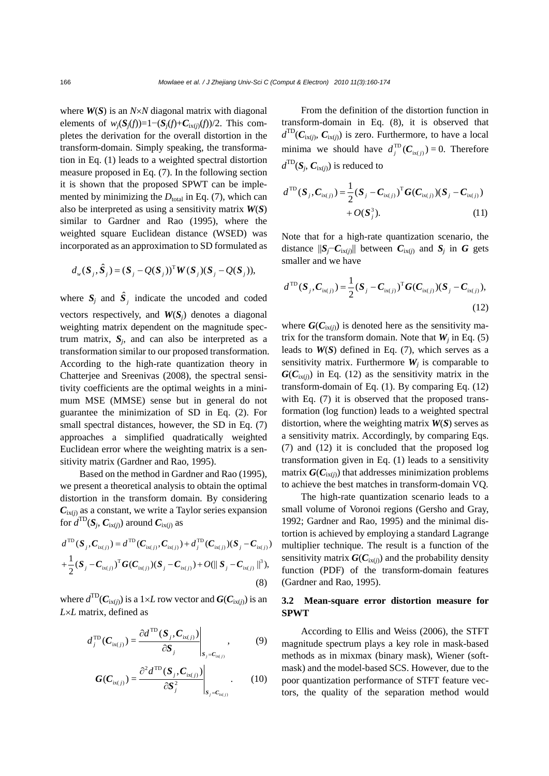where *W*(*S*) is an *N*×*N* diagonal matrix with diagonal elements of  $w_i(S_i(f))=1-(S_i(f)+C_{iX(i)}(f))/2$ . This completes the derivation for the overall distortion in the transform-domain. Simply speaking, the transformation in Eq. (1) leads to a weighted spectral distortion measure proposed in Eq. (7). In the following section it is shown that the proposed SPWT can be implemented by minimizing the  $D_{total}$  in Eq. (7), which can also be interpreted as using a sensitivity matrix *W*(*S*) similar to Gardner and Rao (1995), where the weighted square Euclidean distance (WSED) was incorporated as an approximation to SD formulated as

$$
d_w(S_j, \hat{S}_j) = (S_j - Q(S_j))^T W(S_j)(S_j - Q(S_j)),
$$

where  $S_j$  and  $\hat{S}_j$  indicate the uncoded and coded vectors respectively, and *W*(*Sj*) denotes a diagonal weighting matrix dependent on the magnitude spectrum matrix,  $S_i$ , and can also be interpreted as a transformation similar to our proposed transformation. According to the high-rate quantization theory in Chatterjee and Sreenivas (2008), the spectral sensitivity coefficients are the optimal weights in a minimum MSE (MMSE) sense but in general do not guarantee the minimization of SD in Eq. (2). For small spectral distances, however, the SD in Eq. (7) approaches a simplified quadratically weighted Euclidean error where the weighting matrix is a sensitivity matrix (Gardner and Rao, 1995).

Based on the method in Gardner and Rao (1995), we present a theoretical analysis to obtain the optimal distortion in the transform domain. By considering  $C_{i(x)}$  as a constant, we write a Taylor series expansion for  $d^{\text{TD}}(S_i, C_{\text{ix}(i)})$  around  $C_{\text{ix}(i)}$  as

$$
d^{\text{TD}}(S_j, C_{i\mathbf{x}(j)}) = d^{\text{TD}}(C_{i\mathbf{x}(j)}, C_{i\mathbf{x}(j)}) + d_j^{\text{TD}}(C_{i\mathbf{x}(j)})(S_j - C_{i\mathbf{x}(j)})
$$
  
+ 
$$
\frac{1}{2}(S_j - C_{i\mathbf{x}(j)})^{\text{T}}G(C_{i\mathbf{x}(j)})(S_j - C_{i\mathbf{x}(j)}) + O(||S_j - C_{i\mathbf{x}(j)}||^3),
$$
(8)

where  $d^{\text{TD}}(C_{i\text{x}(i)})$  is a 1×*L* row vector and  $G(C_{i\text{x}(i)})$  is an *L*×*L* matrix, defined as

$$
d_j^{\text{TD}}(C_{\text{ix}(j)}) = \frac{\partial d^{\text{TD}}(S_j, C_{\text{ix}(j)})}{\partial S_j}\Big|_{S_j = C_{\text{ix}(j)}},\tag{9}
$$

$$
G(C_{\text{ix}(j)}) = \frac{\partial^2 d^{\text{TD}}(S_j, C_{\text{ix}(j)})}{\partial S_j^2}\Bigg|_{S_j = C_{\text{ix}(j)}}.
$$
 (10)

From the definition of the distortion function in transform-domain in Eq. (8), it is observed that  $d^{\text{TD}}(\mathbf{C}_{i\mathbf{x}(j)}, \mathbf{C}_{i\mathbf{x}(j)})$  is zero. Furthermore, to have a local minima we should have  $d_j^{\text{TD}}(C_{i x(j)}) = 0$ . Therefore  $d^{\text{TD}}(S_i, C_{\text{ix}(i)})$  is reduced to

$$
d^{\text{TD}}(S_j, C_{\text{ix}(j)}) = \frac{1}{2}(S_j - C_{\text{ix}(j)})^{\text{T}} G(C_{\text{ix}(j)})(S_j - C_{\text{ix}(j)}) + O(S_j^3). \tag{11}
$$

Note that for a high-rate quantization scenario, the distance  $||S_j - C_{i(x)}||$  between  $C_{i(x)}$  and  $S_j$  in  $G$  gets smaller and we have

$$
d^{\text{TD}}(S_j, C_{\text{ix}(j)}) = \frac{1}{2}(S_j - C_{\text{ix}(j)})^{\text{T}} G(C_{\text{ix}(j)})(S_j - C_{\text{ix}(j)}),
$$
\n(12)

where  $G(C_{i\chi(j)})$  is denoted here as the sensitivity matrix for the transform domain. Note that  $W_i$  in Eq. (5) leads to  $W(S)$  defined in Eq. (7), which serves as a sensitivity matrix. Furthermore  $W_i$  is comparable to  $G(C_{iX(i)})$  in Eq. (12) as the sensitivity matrix in the transform-domain of Eq. (1). By comparing Eq. (12) with Eq. (7) it is observed that the proposed transformation (log function) leads to a weighted spectral distortion, where the weighting matrix *W*(*S*) serves as a sensitivity matrix. Accordingly, by comparing Eqs. (7) and (12) it is concluded that the proposed log transformation given in Eq. (1) leads to a sensitivity matrix  $G(C_{iX(i)})$  that addresses minimization problems to achieve the best matches in transform-domain VQ.

The high-rate quantization scenario leads to a small volume of Voronoi regions (Gersho and Gray, 1992; Gardner and Rao, 1995) and the minimal distortion is achieved by employing a standard Lagrange multiplier technique. The result is a function of the sensitivity matrix  $G(C_{i\chi(j)})$  and the probability density function (PDF) of the transform-domain features (Gardner and Rao, 1995).

# **3.2 Mean-square error distortion measure for SPWT**

According to Ellis and Weiss (2006), the STFT magnitude spectrum plays a key role in mask-based methods as in mixmax (binary mask), Wiener (softmask) and the model-based SCS. However, due to the poor quantization performance of STFT feature vectors, the quality of the separation method would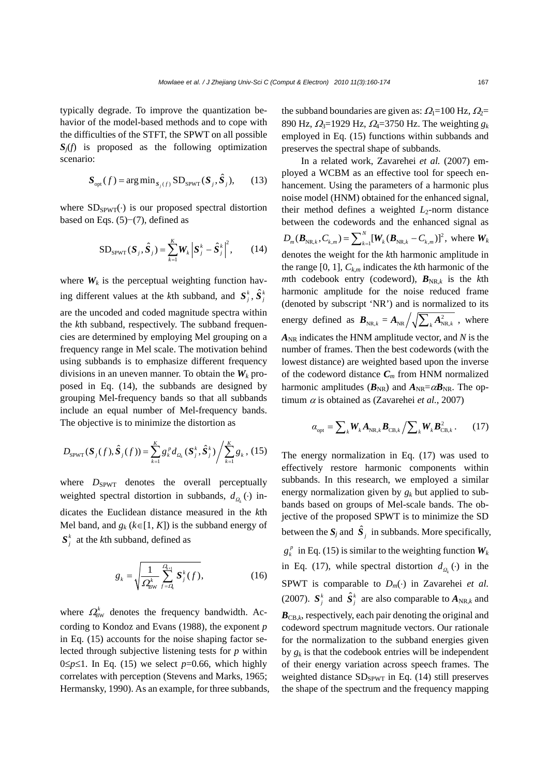typically degrade. To improve the quantization behavior of the model-based methods and to cope with the difficulties of the STFT, the SPWT on all possible  $S_i(f)$  is proposed as the following optimization scenario:

$$
\mathbf{S}_{\text{opt}}(f) = \arg\min_{\mathbf{S}_j(f)} \text{SD}_{\text{SPWT}}(\mathbf{S}_j, \hat{\mathbf{S}}_j), \qquad (13)
$$

where  $SD_{SPWT}(\cdot)$  is our proposed spectral distortion based on Eqs. (5)−(7), defined as

$$
SD_{SPWT}(S_j, \hat{S}_j) = \sum_{k=1}^{K} W_k |S_j^k - \hat{S}_j^k|^2, \qquad (14)
$$

where  $W_k$  is the perceptual weighting function having different values at the *k*th subband, and  $S_j^k$ ,  $\hat{S}_j^k$ are the uncoded and coded magnitude spectra within the *k*th subband, respectively. The subband frequencies are determined by employing Mel grouping on a frequency range in Mel scale. The motivation behind using subbands is to emphasize different frequency divisions in an uneven manner. To obtain the  $W_k$  proposed in Eq. (14), the subbands are designed by grouping Mel-frequency bands so that all subbands include an equal number of Mel-frequency bands. The objective is to minimize the distortion as

$$
D_{\text{SPWT}}(\boldsymbol{S}_j(f), \hat{\boldsymbol{S}}_j(f)) = \sum_{k=1}^K g_k^{\,p} d_{Q_k}(\boldsymbol{S}_j^k, \hat{\boldsymbol{S}}_j^k) / \sum_{k=1}^K g_k \,, (15)
$$

where  $D_{\text{SPWT}}$  denotes the overall perceptually weighted spectral distortion in subbands,  $d_{\Omega_k}(\cdot)$  indicates the Euclidean distance measured in the *k*th Mel band, and  $g_k$  ( $k \in [1, K]$ ) is the subband energy of  $S_i^k$  at the *k*th subband, defined as

$$
g_k = \sqrt{\frac{1}{\Omega_{\text{BW}}^k} \sum_{f=Q_k}^{Q_{k+1}} \mathbf{S}_j^k(f)},
$$
(16)

where  $\Omega_{BW}^{k}$  denotes the frequency bandwidth. According to Kondoz and Evans (1988), the exponent *p* in Eq. (15) accounts for the noise shaping factor selected through subjective listening tests for *p* within  $0 \le p \le 1$ . In Eq. (15) we select  $p=0.66$ , which highly correlates with perception (Stevens and Marks, 1965; Hermansky, 1990). As an example, for three subbands, the subband boundaries are given as:  $Q_1=100$  Hz,  $Q_2=$ 890 Hz, Ω3=1929 Hz, Ω4=3750 Hz. The weighting *gk* employed in Eq. (15) functions within subbands and preserves the spectral shape of subbands.

In a related work, Zavarehei *et al.* (2007) employed a WCBM as an effective tool for speech enhancement. Using the parameters of a harmonic plus noise model (HNM) obtained for the enhanced signal, their method defines a weighted *L*2-norm distance between the codewords and the enhanced signal as  $D_m(B_{NR,k}, C_{k,m}) = \sum_{k=1}^{N} [W_k(B_{NR,k} - C_{k,m})]^2$ , where  $W_k$ denotes the weight for the *k*th harmonic amplitude in the range [0, 1],  $C_{k,m}$  indicates the *k*th harmonic of the *m*th codebook entry (codeword),  $B_{NR,k}$  is the *k*th harmonic amplitude for the noise reduced frame (denoted by subscript 'NR') and is normalized to its energy defined as  $B_{NR,k} = A_{NR} / \sqrt{\sum_{k} A_{NR,k}^2}$ , where  $A_{NR}$  indicates the HNM amplitude vector, and *N* is the number of frames. Then the best codewords (with the lowest distance) are weighted based upon the inverse of the codeword distance  $C_m$  from HNM normalized harmonic amplitudes ( $B_{\text{NR}}$ ) and  $A_{\text{NR}} = \alpha B_{\text{NR}}$ . The optimum  $\alpha$  is obtained as (Zavarehei *et al.*, 2007)

$$
\alpha_{\rm opt} = \sum_k W_k A_{\text{NR},k} B_{\text{CB},k} / \sum_k W_k B_{\text{CB},k}^2. \qquad (17)
$$

The energy normalization in Eq. (17) was used to effectively restore harmonic components within subbands. In this research, we employed a similar energy normalization given by *gk* but applied to subbands based on groups of Mel-scale bands. The objective of the proposed SPWT is to minimize the SD between the  $S_j$  and  $\hat{S}_j$  in subbands. More specifically,  $g_k^p$  in Eq. (15) is similar to the weighting function  $W_k$ in Eq. (17), while spectral distortion  $d_{\Omega}$   $\leftrightarrow$  in the SPWT is comparable to  $D_m(\cdot)$  in Zavarehei *et al.* (2007).  $S_i^k$  and  $\hat{S}_i^k$  are also comparable to  $A_{NR,k}$  and  $B_{CB,k}$ , respectively, each pair denoting the original and codeword spectrum magnitude vectors. Our rationale for the normalization to the subband energies given by  $g_k$  is that the codebook entries will be independent of their energy variation across speech frames. The weighted distance  $SD_{SPWT}$  in Eq. (14) still preserves the shape of the spectrum and the frequency mapping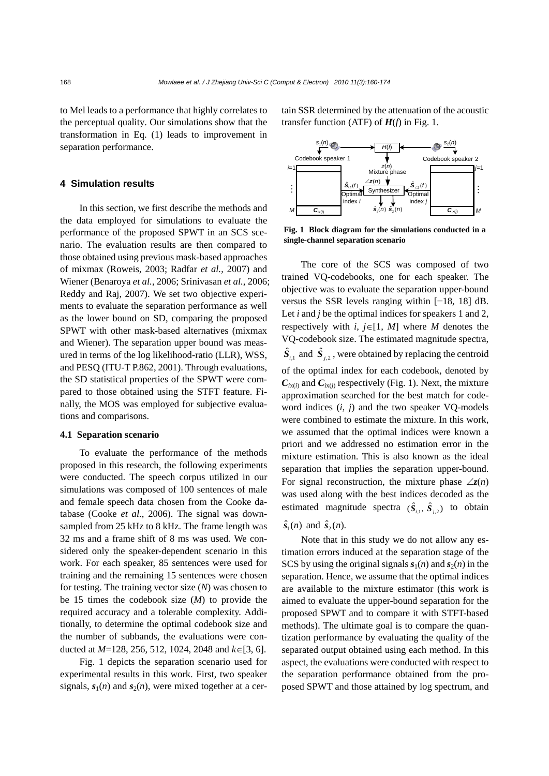to Mel leads to a performance that highly correlates to the perceptual quality. Our simulations show that the transformation in Eq. (1) leads to improvement in separation performance.

## **4 Simulation results**

In this section, we first describe the methods and the data employed for simulations to evaluate the performance of the proposed SPWT in an SCS scenario. The evaluation results are then compared to those obtained using previous mask-based approaches of mixmax (Roweis, 2003; Radfar *et al.*, 2007) and Wiener (Benaroya *et al.*, 2006; Srinivasan *et al.*, 2006; Reddy and Raj, 2007). We set two objective experiments to evaluate the separation performance as well as the lower bound on SD, comparing the proposed SPWT with other mask-based alternatives (mixmax and Wiener). The separation upper bound was measured in terms of the log likelihood-ratio (LLR), WSS, and PESQ (ITU-T P.862, 2001). Through evaluations, the SD statistical properties of the SPWT were compared to those obtained using the STFT feature. Finally, the MOS was employed for subjective evaluations and comparisons.

#### **4.1 Separation scenario**

To evaluate the performance of the methods proposed in this research, the following experiments were conducted. The speech corpus utilized in our simulations was composed of 100 sentences of male and female speech data chosen from the Cooke database (Cooke *et al.*, 2006). The signal was downsampled from 25 kHz to 8 kHz. The frame length was 32 ms and a frame shift of 8 ms was used*.* We considered only the speaker-dependent scenario in this work. For each speaker, 85 sentences were used for training and the remaining 15 sentences were chosen for testing. The training vector size (*N*) was chosen to be 15 times the codebook size (*M*) to provide the required accuracy and a tolerable complexity. Additionally, to determine the optimal codebook size and the number of subbands, the evaluations were conducted at *M*=128, 256, 512, 1024, 2048 and *k*∈[3, 6].

Fig. 1 depicts the separation scenario used for experimental results in this work. First, two speaker signals,  $s_1(n)$  and  $s_2(n)$ , were mixed together at a certain SSR determined by the attenuation of the acoustic transfer function (ATF) of *H*(*f*) in Fig. 1.



**Fig. 1 Block diagram for the simulations conducted in a single-channel separation scenario** 

The core of the SCS was composed of two trained VQ-codebooks, one for each speaker. The objective was to evaluate the separation upper-bound versus the SSR levels ranging within [−18, 18] dB. Let *i* and *j* be the optimal indices for speakers 1 and 2, respectively with *i*,  $j \in [1, M]$  where *M* denotes the VQ-codebook size. The estimated magnitude spectra,  $\hat{S}_{i,1}$  and  $\hat{S}_{i,2}$ , were obtained by replacing the centroid of the optimal index for each codebook, denoted by  $C_{iX(i)}$  and  $C_{iX(i)}$  respectively (Fig. 1). Next, the mixture approximation searched for the best match for codeword indices (*i*, *j*) and the two speaker VQ-models were combined to estimate the mixture. In this work, we assumed that the optimal indices were known a priori and we addressed no estimation error in the mixture estimation. This is also known as the ideal separation that implies the separation upper-bound. For signal reconstruction, the mixture phase  $\angle z(n)$ was used along with the best indices decoded as the estimated magnitude spectra  $(\hat{S}_{i,1}, \hat{S}_{i,2})$  to obtain

## $\hat{\mathbf{s}}_1(n)$  and  $\hat{\mathbf{s}}_2(n)$ .

Note that in this study we do not allow any estimation errors induced at the separation stage of the SCS by using the original signals  $s_1(n)$  and  $s_2(n)$  in the separation. Hence, we assume that the optimal indices are available to the mixture estimator (this work is aimed to evaluate the upper-bound separation for the proposed SPWT and to compare it with STFT-based methods). The ultimate goal is to compare the quantization performance by evaluating the quality of the separated output obtained using each method. In this aspect, the evaluations were conducted with respect to the separation performance obtained from the proposed SPWT and those attained by log spectrum, and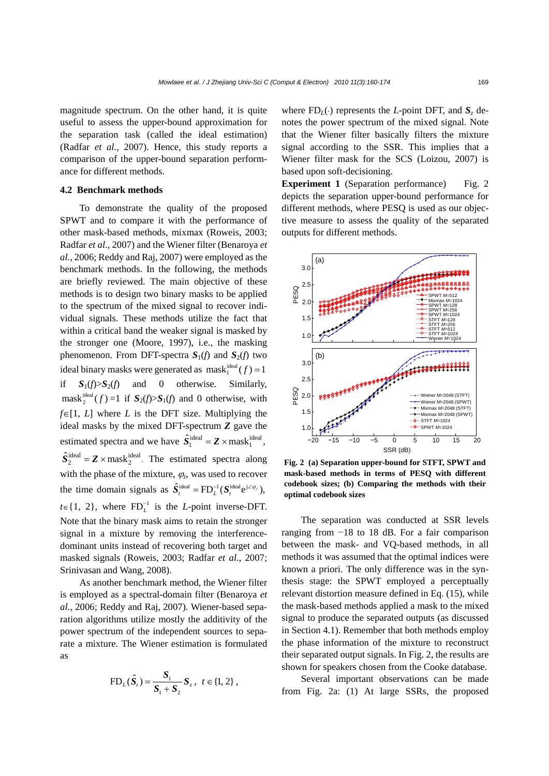magnitude spectrum. On the other hand, it is quite useful to assess the upper-bound approximation for the separation task (called the ideal estimation) (Radfar *et al.*, 2007). Hence, this study reports a comparison of the upper-bound separation performance for different methods.

## **4.2 Benchmark methods**

To demonstrate the quality of the proposed SPWT and to compare it with the performance of other mask-based methods, mixmax (Roweis, 2003; Radfar *et al.*, 2007) and the Wiener filter (Benaroya *et al.*, 2006; Reddy and Raj, 2007) were employed as the benchmark methods. In the following, the methods are briefly reviewed. The main objective of these methods is to design two binary masks to be applied to the spectrum of the mixed signal to recover individual signals. These methods utilize the fact that within a critical band the weaker signal is masked by the stronger one (Moore, 1997), i.e., the masking phenomenon. From DFT-spectra  $S_1(f)$  and  $S_2(f)$  two ideal binary masks were generated as  $\text{mask}_{1}^{\text{ideal}}( f ) = 1$ if  $S_1(f) > S_2(f)$  and 0 otherwise. Similarly,  $\text{mask}_{2}^{\text{ideal}}( f)=1 \text{ if } S_{2}(f) > S_{1}(f) \text{ and } 0 \text{ otherwise, with}$ *f*∈[1, *L*] where *L* is the DFT size. Multiplying the ideal masks by the mixed DFT-spectrum *Z* gave the estimated spectra and we have  $\hat{S}_1^{\text{ideal}} = \mathbf{Z} \times \text{mask}_1^{\text{ideal}},$  $\hat{S}_2^{\text{ideal}} = \mathbf{Z} \times \text{mask}_2^{\text{ideal}}$ . The estimated spectra along with the phase of the mixture,  $\varphi$ <sub>z</sub>, was used to recover the time domain signals as  $\hat{S}_t^{\text{ideal}} = \text{FD}_L^{-1} (\hat{S}_t^{\text{ideal}} e^{j \angle \varphi_z})$ ,  $t \in \{1, 2\}$ , where  $FD<sub>L</sub><sup>-1</sup>$  is the *L*-point inverse-DFT. Note that the binary mask aims to retain the stronger signal in a mixture by removing the interferencedominant units instead of recovering both target and masked signals (Roweis, 2003; Radfar *et al*., 2007; Srinivasan and Wang, 2008).

As another benchmark method, the Wiener filter is employed as a spectral-domain filter (Benaroya *et al.*, 2006; Reddy and Raj, 2007). Wiener-based separation algorithms utilize mostly the additivity of the power spectrum of the independent sources to separate a mixture. The Wiener estimation is formulated as

$$
FD_{L}(\hat{S}_{t}) = \frac{S_{1}}{S_{1} + S_{2}} S_{z}, \ \ t \in \{1, 2\} \ ,
$$

where  $FD<sub>L</sub>(.)$  represents the *L*-point DFT, and  $S<sub>z</sub>$  denotes the power spectrum of the mixed signal. Note that the Wiener filter basically filters the mixture signal according to the SSR. This implies that a Wiener filter mask for the SCS (Loizou, 2007) is based upon soft-decisioning.

**Experiment 1** (Separation performance) Fig. 2 depicts the separation upper-bound performance for different methods, where PESQ is used as our objective measure to assess the quality of the separated outputs for different methods.



**Fig. 2 (a) Separation upper-bound for STFT, SPWT and mask-based methods in terms of PESQ with different codebook sizes; (b) Comparing the methods with their optimal codebook sizes** 

The separation was conducted at SSR levels ranging from −18 to 18 dB. For a fair comparison between the mask- and VQ-based methods, in all methods it was assumed that the optimal indices were known a priori. The only difference was in the synthesis stage: the SPWT employed a perceptually relevant distortion measure defined in Eq. (15), while the mask-based methods applied a mask to the mixed signal to produce the separated outputs (as discussed in Section 4.1). Remember that both methods employ the phase information of the mixture to reconstruct their separated output signals. In Fig. 2, the results are shown for speakers chosen from the Cooke database.

Several important observations can be made from Fig. 2a: (1) At large SSRs, the proposed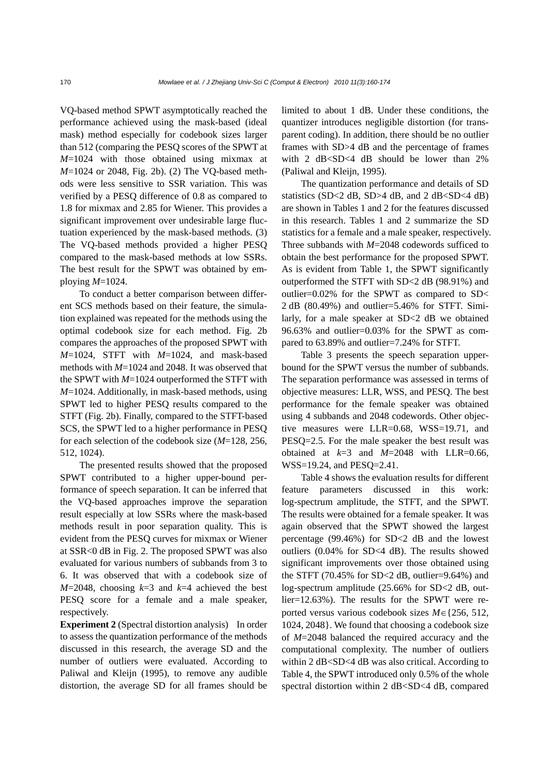VQ-based method SPWT asymptotically reached the performance achieved using the mask-based (ideal mask) method especially for codebook sizes larger than 512 (comparing the PESQ scores of the SPWT at *M*=1024 with those obtained using mixmax at *M*=1024 or 2048, Fig. 2b). (2) The VQ-based methods were less sensitive to SSR variation. This was verified by a PESQ difference of 0.8 as compared to 1.8 for mixmax and 2.85 for Wiener. This provides a significant improvement over undesirable large fluctuation experienced by the mask-based methods. (3) The VQ-based methods provided a higher PESQ compared to the mask-based methods at low SSRs. The best result for the SPWT was obtained by employing *M*=1024.

To conduct a better comparison between different SCS methods based on their feature, the simulation explained was repeated for the methods using the optimal codebook size for each method. Fig. 2b compares the approaches of the proposed SPWT with *M*=1024, STFT with *M*=1024, and mask-based methods with *M*=1024 and 2048. It was observed that the SPWT with *M*=1024 outperformed the STFT with *M*=1024. Additionally, in mask-based methods, using SPWT led to higher PESQ results compared to the STFT (Fig. 2b). Finally, compared to the STFT-based SCS, the SPWT led to a higher performance in PESQ for each selection of the codebook size (*M*=128, 256, 512, 1024).

The presented results showed that the proposed SPWT contributed to a higher upper-bound performance of speech separation. It can be inferred that the VQ-based approaches improve the separation result especially at low SSRs where the mask-based methods result in poor separation quality. This is evident from the PESQ curves for mixmax or Wiener at SSR<0 dB in Fig. 2. The proposed SPWT was also evaluated for various numbers of subbands from 3 to 6. It was observed that with a codebook size of  $M=2048$ , choosing  $k=3$  and  $k=4$  achieved the best PESQ score for a female and a male speaker, respectively.

**Experiment 2** (Spectral distortion analysis)In order to assess the quantization performance of the methods discussed in this research, the average SD and the number of outliers were evaluated. According to Paliwal and Kleijn (1995), to remove any audible distortion, the average SD for all frames should be

limited to about 1 dB. Under these conditions, the quantizer introduces negligible distortion (for transparent coding). In addition, there should be no outlier frames with SD>4 dB and the percentage of frames with 2 dB<SD<4 dB should be lower than 2% (Paliwal and Kleijn, 1995).

The quantization performance and details of SD statistics (SD<2 dB, SD>4 dB, and 2 dB<SD<4 dB) are shown in Tables 1 and 2 for the features discussed in this research. Tables 1 and 2 summarize the SD statistics for a female and a male speaker, respectively. Three subbands with *M*=2048 codewords sufficed to obtain the best performance for the proposed SPWT. As is evident from Table 1, the SPWT significantly outperformed the STFT with SD<2 dB (98.91%) and outlier=0.02% for the SPWT as compared to SD< 2 dB (80.49%) and outlier=5.46% for STFT. Similarly, for a male speaker at SD<2 dB we obtained 96.63% and outlier=0.03% for the SPWT as compared to 63.89% and outlier=7.24% for STFT.

Table 3 presents the speech separation upperbound for the SPWT versus the number of subbands. The separation performance was assessed in terms of objective measures: LLR, WSS, and PESQ. The best performance for the female speaker was obtained using 4 subbands and 2048 codewords. Other objective measures were LLR=0.68, WSS=19.71, and PESQ=2.5. For the male speaker the best result was obtained at  $k=3$  and  $M=2048$  with LLR=0.66, WSS=19.24, and PESQ=2.41.

Table 4 shows the evaluation results for different feature parameters discussed in this work: log-spectrum amplitude, the STFT, and the SPWT. The results were obtained for a female speaker. It was again observed that the SPWT showed the largest percentage (99.46%) for SD<2 dB and the lowest outliers (0.04% for SD<4 dB). The results showed significant improvements over those obtained using the STFT (70.45% for SD $<$ 2 dB, outlier=9.64%) and log-spectrum amplitude (25.66% for SD<2 dB, outlier=12.63%). The results for the SPWT were reported versus various codebook sizes *M*∈{256, 512, 1024, 2048}. We found that choosing a codebook size of *M*=2048 balanced the required accuracy and the computational complexity. The number of outliers within 2 dB<SD<4 dB was also critical. According to Table 4, the SPWT introduced only 0.5% of the whole spectral distortion within 2 dB<SD<4 dB, compared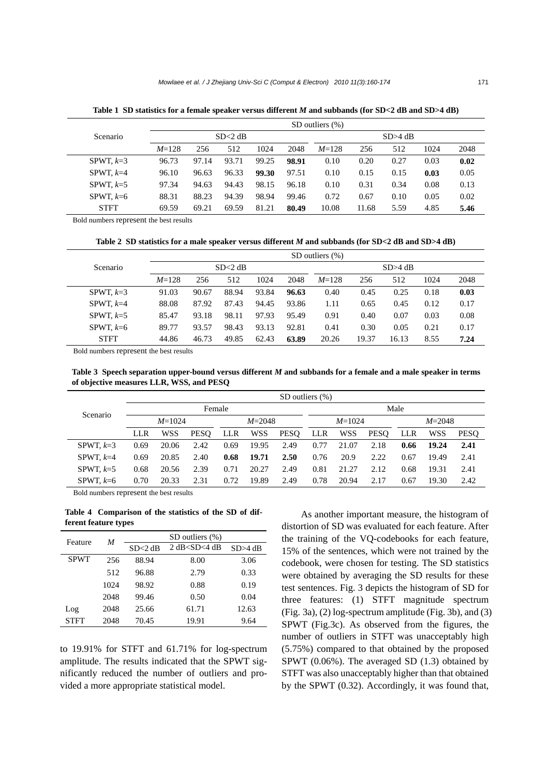|                 | SD outliers $(\%)$ |       |           |       |       |           |       |      |      |      |
|-----------------|--------------------|-------|-----------|-------|-------|-----------|-------|------|------|------|
| <b>Scenario</b> |                    |       | $SD>4$ dB |       |       |           |       |      |      |      |
|                 | $M = 128$          | 256   | 512       | 1024  | 2048  | $M = 128$ | 256   | 512  | 1024 | 2048 |
| SPWT, $k=3$     | 96.73              | 97.14 | 93.71     | 99.25 | 98.91 | 0.10      | 0.20  | 0.27 | 0.03 | 0.02 |
| SPWT, $k=4$     | 96.10              | 96.63 | 96.33     | 99.30 | 97.51 | 0.10      | 0.15  | 0.15 | 0.03 | 0.05 |
| SPWT, $k=5$     | 97.34              | 94.63 | 94.43     | 98.15 | 96.18 | 0.10      | 0.31  | 0.34 | 0.08 | 0.13 |
| SPWT, $k=6$     | 88.31              | 88.23 | 94.39     | 98.94 | 99.46 | 0.72      | 0.67  | 0.10 | 0.05 | 0.02 |
| <b>STFT</b>     | 69.59              | 69.21 | 69.59     | 81.21 | 80.49 | 10.08     | 11.68 | 5.59 | 4.85 | 5.46 |

**Table 1 SD statistics for a female speaker versus different** *M* **and subbands (for SD<2 dB and SD>4 dB)** 

Bold numbers represent the best results

**Table 2 SD statistics for a male speaker versus different** *M* **and subbands (for SD<2 dB and SD>4 dB)** 

|                 | SD outliers $(\% )$ |       |       |         |       |           |       |       |      |      |
|-----------------|---------------------|-------|-------|---------|-------|-----------|-------|-------|------|------|
| <b>Scenario</b> |                     |       |       | SD>4 dB |       |           |       |       |      |      |
|                 | $M = 128$           | 256   | 512   | 1024    | 2048  | $M = 128$ | 256   | 512   | 1024 | 2048 |
| SPWT, $k=3$     | 91.03               | 90.67 | 88.94 | 93.84   | 96.63 | 0.40      | 0.45  | 0.25  | 0.18 | 0.03 |
| SPWT, $k=4$     | 88.08               | 87.92 | 87.43 | 94.45   | 93.86 | 1.11      | 0.65  | 0.45  | 0.12 | 0.17 |
| SPWT, $k=5$     | 85.47               | 93.18 | 98.11 | 97.93   | 95.49 | 0.91      | 0.40  | 0.07  | 0.03 | 0.08 |
| SPWT, $k=6$     | 89.77               | 93.57 | 98.43 | 93.13   | 92.81 | 0.41      | 0.30  | 0.05  | 0.21 | 0.17 |
| <b>STFT</b>     | 44.86               | 46.73 | 49.85 | 62.43   | 63.89 | 20.26     | 19.37 | 16.13 | 8.55 | 7.24 |

Bold numbers represent the best results

**Table 3 Speech separation upper-bound versus different** *M* **and subbands for a female and a male speaker in terms of objective measures LLR, WSS, and PESQ** 

|             | SD outliers $(\%)$ |       |             |            |            |             |          |            |             |            |            |             |  |
|-------------|--------------------|-------|-------------|------------|------------|-------------|----------|------------|-------------|------------|------------|-------------|--|
| Scenario    | Female             |       |             |            |            |             |          | Male       |             |            |            |             |  |
|             | $M = 1024$         |       |             | $M = 2048$ |            |             | $M=1024$ |            |             | $M = 2048$ |            |             |  |
|             | LLR                | WSS   | <b>PESO</b> | <b>LLR</b> | <b>WSS</b> | <b>PESO</b> | LLR      | <b>WSS</b> | <b>PESO</b> | LLR        | <b>WSS</b> | <b>PESO</b> |  |
| SPWT, $k=3$ | 0.69               | 20.06 | 2.42        | 0.69       | 19.95      | 2.49        | 0.77     | 21.07      | 2.18        | 0.66       | 19.24      | 2.41        |  |
| SPWT, $k=4$ | 0.69               | 20.85 | 2.40        | 0.68       | 19.71      | 2.50        | 0.76     | 20.9       | 2.22        | 0.67       | 19.49      | 2.41        |  |
| SPWT, $k=5$ | 0.68               | 20.56 | 2.39        | 0.71       | 20.27      | 2.49        | 0.81     | 21.27      | 2.12        | 0.68       | 19.31      | 2.41        |  |
| SPWT, $k=6$ | 0.70               | 20.33 | 2.31        | 0.72       | 19.89      | 2.49        | 0.78     | 20.94      | 2.17        | 0.67       | 19.30      | 2.42        |  |

Bold numbers represent the best results

**Table 4 Comparison of the statistics of the SD of different feature types** 

| Feature     | M    | SD outliers (%) |                  |         |  |  |  |  |  |
|-------------|------|-----------------|------------------|---------|--|--|--|--|--|
|             |      | $SD < 2$ dB     | 2 dB < SD < 4 dB | SD>4 dB |  |  |  |  |  |
| <b>SPWT</b> | 256  | 88.94           | 8.00             | 3.06    |  |  |  |  |  |
|             | 512  | 96.88           | 2.79             | 0.33    |  |  |  |  |  |
|             | 1024 | 98.92           | 0.88             | 0.19    |  |  |  |  |  |
|             | 2048 | 99.46           | 0.50             | 0.04    |  |  |  |  |  |
| Log         | 2048 | 25.66           | 61.71            | 12.63   |  |  |  |  |  |
| STFT        | 2048 | 70.45           | 19.91            | 9.64    |  |  |  |  |  |

to 19.91% for STFT and 61.71% for log-spectrum amplitude. The results indicated that the SPWT significantly reduced the number of outliers and provided a more appropriate statistical model.

As another important measure, the histogram of distortion of SD was evaluated for each feature. After the training of the VQ-codebooks for each feature, 15% of the sentences, which were not trained by the codebook, were chosen for testing. The SD statistics were obtained by averaging the SD results for these test sentences. Fig. 3 depicts the histogram of SD for three features: (1) STFT magnitude spectrum (Fig. 3a), (2) log-spectrum amplitude (Fig. 3b), and (3) SPWT (Fig.3c). As observed from the figures, the number of outliers in STFT was unacceptably high (5.75%) compared to that obtained by the proposed SPWT (0.06%). The averaged SD (1.3) obtained by STFT was also unacceptably higher than that obtained by the SPWT (0.32). Accordingly, it was found that,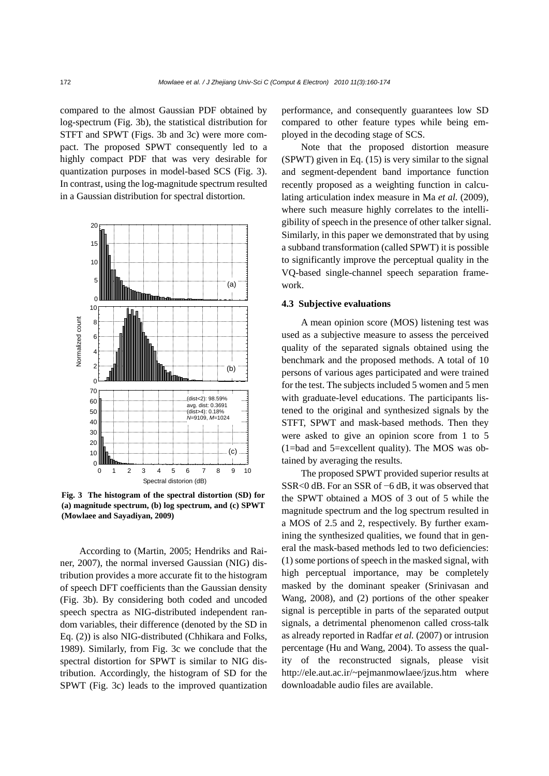compared to the almost Gaussian PDF obtained by log-spectrum (Fig. 3b), the statistical distribution for STFT and SPWT (Figs. 3b and 3c) were more compact. The proposed SPWT consequently led to a highly compact PDF that was very desirable for quantization purposes in model-based SCS (Fig. 3). In contrast, using the log-magnitude spectrum resulted in a Gaussian distribution for spectral distortion.



**Fig. 3 The histogram of the spectral distortion (SD) for (a) magnitude spectrum, (b) log spectrum, and (c) SPWT (Mowlaee and Sayadiyan, 2009)**

According to (Martin, 2005; Hendriks and Rainer, 2007), the normal inversed Gaussian (NIG) distribution provides a more accurate fit to the histogram of speech DFT coefficients than the Gaussian density (Fig. 3b). By considering both coded and uncoded speech spectra as NIG-distributed independent random variables, their difference (denoted by the SD in Eq. (2)) is also NIG-distributed (Chhikara and Folks, 1989). Similarly, from Fig. 3c we conclude that the spectral distortion for SPWT is similar to NIG distribution. Accordingly, the histogram of SD for the SPWT (Fig. 3c) leads to the improved quantization performance, and consequently guarantees low SD compared to other feature types while being employed in the decoding stage of SCS.

Note that the proposed distortion measure (SPWT) given in Eq. (15) is very similar to the signal and segment-dependent band importance function recently proposed as a weighting function in calculating articulation index measure in Ma *et al.* (2009), where such measure highly correlates to the intelligibility of speech in the presence of other talker signal. Similarly, in this paper we demonstrated that by using a subband transformation (called SPWT) it is possible to significantly improve the perceptual quality in the VQ-based single-channel speech separation framework.

# **4.3 Subjective evaluations**

A mean opinion score (MOS) listening test was used as a subjective measure to assess the perceived quality of the separated signals obtained using the benchmark and the proposed methods. A total of 10 persons of various ages participated and were trained for the test. The subjects included 5 women and 5 men with graduate-level educations. The participants listened to the original and synthesized signals by the STFT, SPWT and mask-based methods. Then they were asked to give an opinion score from 1 to 5 (1=bad and 5=excellent quality). The MOS was obtained by averaging the results.

The proposed SPWT provided superior results at SSR<0 dB. For an SSR of −6 dB, it was observed that the SPWT obtained a MOS of 3 out of 5 while the magnitude spectrum and the log spectrum resulted in a MOS of 2.5 and 2, respectively. By further examining the synthesized qualities, we found that in general the mask-based methods led to two deficiencies: (1) some portions of speech in the masked signal, with high perceptual importance, may be completely masked by the dominant speaker (Srinivasan and Wang, 2008), and (2) portions of the other speaker signal is perceptible in parts of the separated output signals, a detrimental phenomenon called cross-talk as already reported in Radfar *et al.* (2007) or intrusion percentage (Hu and Wang, 2004). To assess the quality of the reconstructed signals, please visit http://ele.aut.ac.ir/~pejmanmowlaee/jzus.htm where downloadable audio files are available.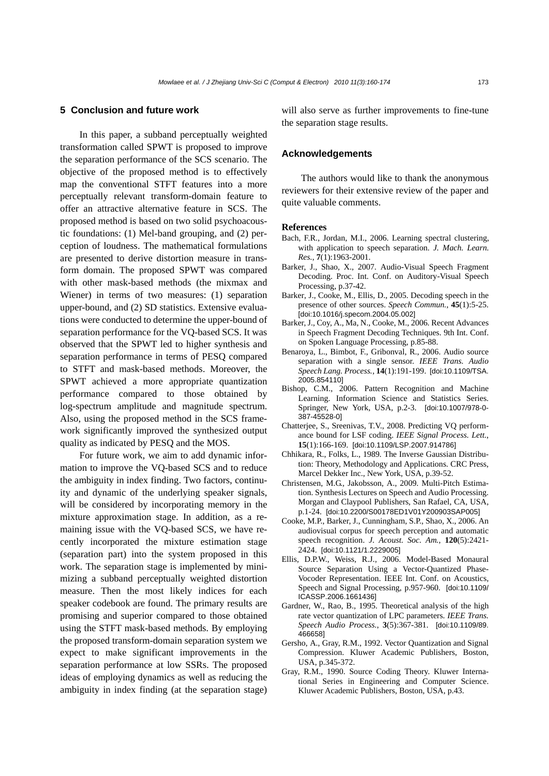#### **5 Conclusion and future work**

In this paper, a subband perceptually weighted transformation called SPWT is proposed to improve the separation performance of the SCS scenario. The objective of the proposed method is to effectively map the conventional STFT features into a more perceptually relevant transform-domain feature to offer an attractive alternative feature in SCS. The proposed method is based on two solid psychoacoustic foundations: (1) Mel-band grouping, and (2) perception of loudness. The mathematical formulations are presented to derive distortion measure in transform domain. The proposed SPWT was compared with other mask-based methods (the mixmax and Wiener) in terms of two measures: (1) separation upper-bound, and (2) SD statistics. Extensive evaluations were conducted to determine the upper-bound of separation performance for the VQ-based SCS. It was observed that the SPWT led to higher synthesis and separation performance in terms of PESQ compared to STFT and mask-based methods. Moreover, the SPWT achieved a more appropriate quantization performance compared to those obtained by log-spectrum amplitude and magnitude spectrum. Also, using the proposed method in the SCS framework significantly improved the synthesized output quality as indicated by PESQ and the MOS.

For future work, we aim to add dynamic information to improve the VQ-based SCS and to reduce the ambiguity in index finding. Two factors, continuity and dynamic of the underlying speaker signals, will be considered by incorporating memory in the mixture approximation stage. In addition, as a remaining issue with the VQ-based SCS, we have recently incorporated the mixture estimation stage (separation part) into the system proposed in this work. The separation stage is implemented by minimizing a subband perceptually weighted distortion measure. Then the most likely indices for each speaker codebook are found. The primary results are promising and superior compared to those obtained using the STFT mask-based methods. By employing the proposed transform-domain separation system we expect to make significant improvements in the separation performance at low SSRs. The proposed ideas of employing dynamics as well as reducing the ambiguity in index finding (at the separation stage) will also serve as further improvements to fine-tune the separation stage results.

#### **Acknowledgements**

The authors would like to thank the anonymous reviewers for their extensive review of the paper and quite valuable comments.

#### **References**

- Bach, F.R., Jordan, M.I., 2006. Learning spectral clustering, with application to speech separation. *J. Mach. Learn. Res.*, **7**(1):1963-2001.
- Barker, J., Shao, X., 2007. Audio-Visual Speech Fragment Decoding. Proc. Int. Conf. on Auditory-Visual Speech Processing, p.37-42.
- Barker, J., Cooke, M., Ellis, D., 2005. Decoding speech in the presence of other sources. *Speech Commun.*, **45**(1):5-25. [doi:10.1016/j.specom.2004.05.002]
- Barker, J., Coy, A., Ma, N., Cooke, M., 2006. Recent Advances in Speech Fragment Decoding Techniques. 9th Int. Conf. on Spoken Language Processing, p.85-88.
- Benaroya, L., Bimbot, F., Gribonval, R., 2006. Audio source separation with a single sensor. *IEEE Trans. Audio Speech Lang. Process.*, **14**(1):191-199. [doi:10.1109/TSA. 2005.854110]
- Bishop, C.M., 2006. Pattern Recognition and Machine Learning. Information Science and Statistics Series. Springer, New York, USA, p.2-3. [doi:10.1007/978-0- 387-45528-0]
- Chatterjee, S., Sreenivas, T.V., 2008. Predicting VQ performance bound for LSF coding. *IEEE Signal Process. Lett.*, **15**(1):166-169. [doi:10.1109/LSP.2007.914786]
- Chhikara, R., Folks, L., 1989. The Inverse Gaussian Distribution: Theory, Methodology and Applications. CRC Press, Marcel Dekker Inc., New York, USA, p.39-52.
- Christensen, M.G., Jakobsson, A., 2009. Multi-Pitch Estimation. Synthesis Lectures on Speech and Audio Processing. Morgan and Claypool Publishers, San Rafael, CA, USA, p.1-24. [doi:10.2200/S00178ED1V01Y200903SAP005]
- Cooke, M.P., Barker, J., Cunningham, S.P., Shao, X., 2006. An audiovisual corpus for speech perception and automatic speech recognition. *J. Acoust. Soc. Am.*, **120**(5):2421- 2424. [doi:10.1121/1.2229005]
- Ellis, D.P.W., Weiss, R.J., 2006. Model-Based Monaural Source Separation Using a Vector-Quantized Phase-Vocoder Representation. IEEE Int. Conf. on Acoustics, Speech and Signal Processing, p.957-960. [doi:10.1109/ ICASSP.2006.1661436]
- Gardner, W., Rao, B., 1995. Theoretical analysis of the high rate vector quantization of LPC parameters. *IEEE Trans. Speech Audio Process.*, **3**(5):367-381. [doi:10.1109/89. 466658]
- Gersho, A., Gray, R.M., 1992. Vector Quantization and Signal Compression. Kluwer Academic Publishers, Boston, USA, p.345-372.
- Gray, R.M., 1990. Source Coding Theory. Kluwer International Series in Engineering and Computer Science. Kluwer Academic Publishers, Boston, USA, p.43.